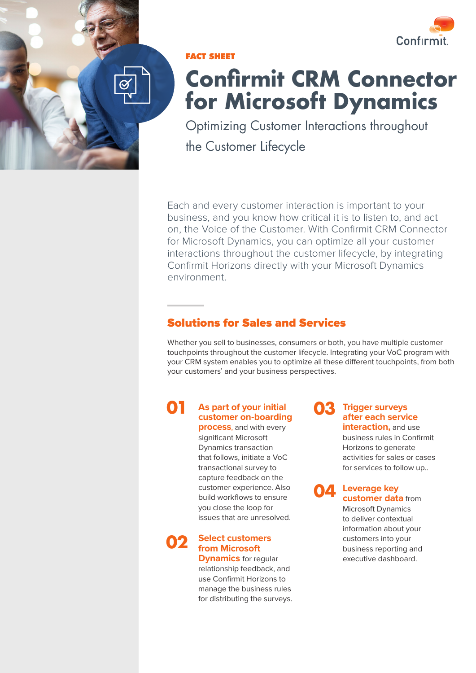

**FACT SHEET**

# **Confirmit CRM Connector for Microsoft Dynamics**

Optimizing Customer Interactions throughout the Customer Lifecycle

Each and every customer interaction is important to your business, and you know how critical it is to listen to, and act on, the Voice of the Customer. With Confirmit CRM Connector for Microsoft Dynamics, you can optimize all your customer interactions throughout the customer lifecycle, by integrating Confirmit Horizons directly with your Microsoft Dynamics environment.

## Solutions for Sales and Services

Whether you sell to businesses, consumers or both, you have multiple customer touchpoints throughout the customer lifecycle. Integrating your VoC program with your CRM system enables you to optimize all these different touchpoints, from both your customers' and your business perspectives.

#### **As part of your initial customer on-boarding 01**

**process**, and with every significant Microsoft Dynamics transaction that follows, initiate a VoC transactional survey to capture feedback on the customer experience. Also build workflows to ensure you close the loop for issues that are unresolved.

**Select customers from Microsoft 02**

**Dynamics** for regular relationship feedback, and use Confirmit Horizons to manage the business rules for distributing the surveys.

**Trigger surveys after each service interaction,** and use **03**

> business rules in Confirmit Horizons to generate activities for sales or cases for services to follow up..



**Leverage key customer data** from Microsoft Dynamics to deliver contextual information about your customers into your business reporting and executive dashboard.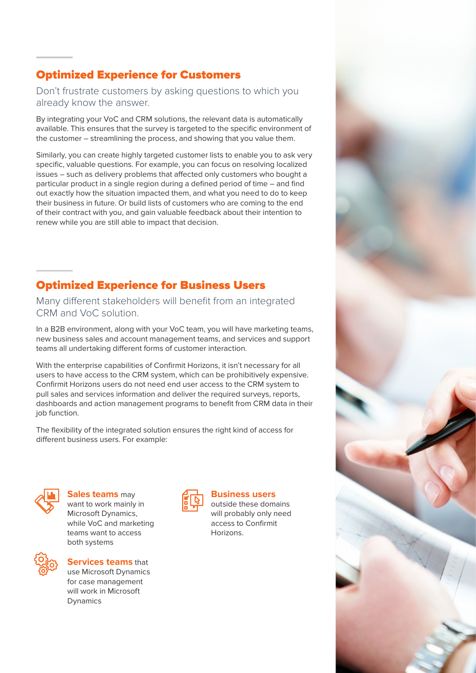## Optimized Experience for Customers

Don't frustrate customers by asking questions to which you already know the answer.

By integrating your VoC and CRM solutions, the relevant data is automatically available. This ensures that the survey is targeted to the specific environment of the customer – streamlining the process, and showing that you value them.

Similarly, you can create highly targeted customer lists to enable you to ask very specific, valuable questions. For example, you can focus on resolving localized issues – such as delivery problems that affected only customers who bought a particular product in a single region during a defined period of time – and find out exactly how the situation impacted them, and what you need to do to keep their business in future. Or build lists of customers who are coming to the end of their contract with you, and gain valuable feedback about their intention to renew while you are still able to impact that decision.

# Optimized Experience for Business Users

Many different stakeholders will benefit from an integrated CRM and VoC solution.

In a B2B environment, along with your VoC team, you will have marketing teams, new business sales and account management teams, and services and support teams all undertaking different forms of customer interaction.

With the enterprise capabilities of Confirmit Horizons, it isn't necessary for all users to have access to the CRM system, which can be prohibitively expensive. Confirmit Horizons users do not need end user access to the CRM system to pull sales and services information and deliver the required surveys, reports, dashboards and action management programs to benefit from CRM data in their job function.

The flexibility of the integrated solution ensures the right kind of access for different business users. For example:



**Sales teams** may want to work mainly in Microsoft Dynamics, while VoC and marketing teams want to access both systems



**Services teams** that use Microsoft Dynamics for case management will work in Microsoft Dynamics



### **Business users**

outside these domains will probably only need access to Confirmit Horizons.

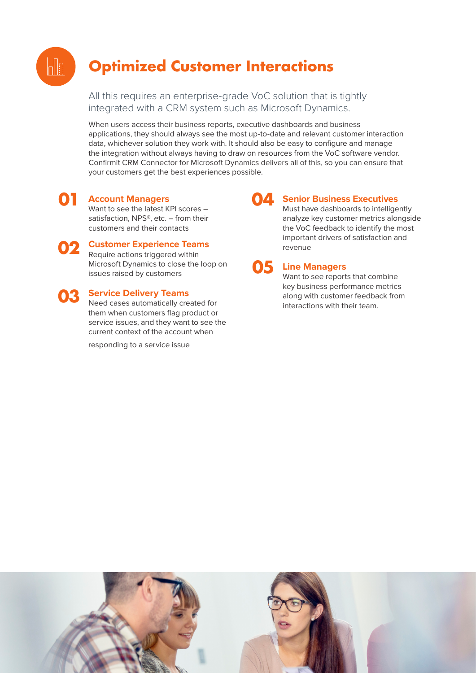

# **Optimized Customer Interactions**

All this requires an enterprise-grade VoC solution that is tightly integrated with a CRM system such as Microsoft Dynamics.

When users access their business reports, executive dashboards and business applications, they should always see the most up-to-date and relevant customer interaction data, whichever solution they work with. It should also be easy to configure and manage the integration without always having to draw on resources from the VoC software vendor. Confirmit CRM Connector for Microsoft Dynamics delivers all of this, so you can ensure that your customers get the best experiences possible.

#### **Account Managers 01**

Want to see the latest KPI scores – satisfaction, NPS®, etc. – from their customers and their contacts

**Customer Experience Teams**  Require actions triggered within Microsoft Dynamics to close the loop on issues raised by customers **02**

# **O3** Service Delivery Teams<br>Need cases automatically cre

Need cases automatically created for them when customers flag product or service issues, and they want to see the current context of the account when

responding to a service issue

#### **Senior Business Executives 04**

Must have dashboards to intelligently analyze key customer metrics alongside the VoC feedback to identify the most important drivers of satisfaction and revenue



### **Line Managers**

Want to see reports that combine key business performance metrics along with customer feedback from interactions with their team.